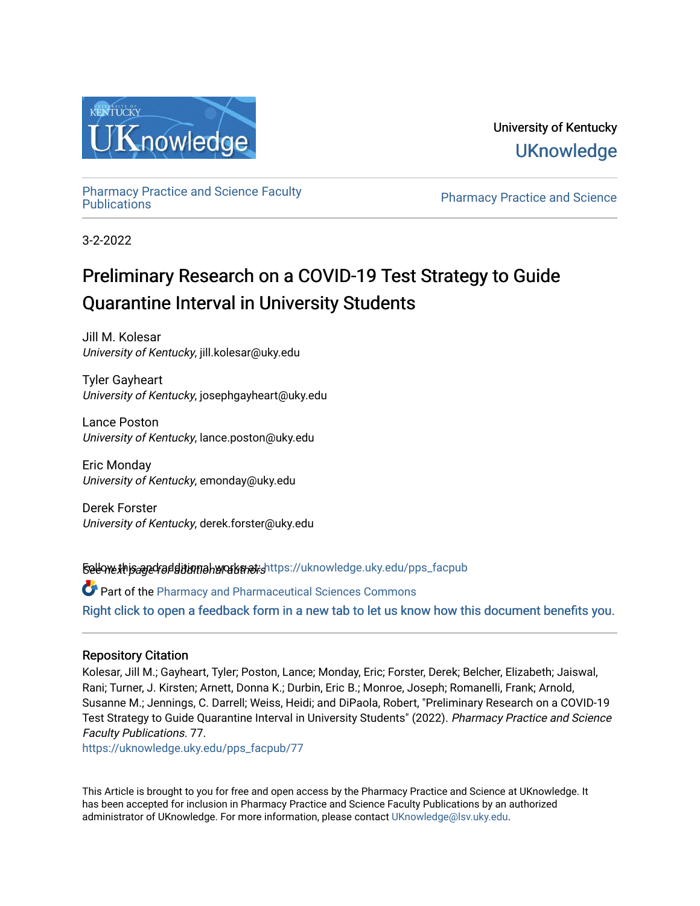

University of Kentucky **UKnowledge** 

[Pharmacy Practice and Science Faculty](https://uknowledge.uky.edu/pps_facpub)

Pharmacy Practice and Science

3-2-2022

# Preliminary Research on a COVID-19 Test Strategy to Guide Quarantine Interval in University Students

Jill M. Kolesar University of Kentucky, jill.kolesar@uky.edu

Tyler Gayheart University of Kentucky, josephgayheart@uky.edu

Lance Poston University of Kentucky, lance.poston@uky.edu

Eric Monday University of Kentucky, emonday@uky.edu

Derek Forster University of Kentucky, derek.forster@uky.edu

Selew this and for ditional and althors Follow this and additional works and additional set of the set of pps

Part of the [Pharmacy and Pharmaceutical Sciences Commons](http://network.bepress.com/hgg/discipline/731?utm_source=uknowledge.uky.edu%2Fpps_facpub%2F77&utm_medium=PDF&utm_campaign=PDFCoverPages) [Right click to open a feedback form in a new tab to let us know how this document benefits you.](https://uky.az1.qualtrics.com/jfe/form/SV_9mq8fx2GnONRfz7)

### Repository Citation

Kolesar, Jill M.; Gayheart, Tyler; Poston, Lance; Monday, Eric; Forster, Derek; Belcher, Elizabeth; Jaiswal, Rani; Turner, J. Kirsten; Arnett, Donna K.; Durbin, Eric B.; Monroe, Joseph; Romanelli, Frank; Arnold, Susanne M.; Jennings, C. Darrell; Weiss, Heidi; and DiPaola, Robert, "Preliminary Research on a COVID-19 Test Strategy to Guide Quarantine Interval in University Students" (2022). Pharmacy Practice and Science Faculty Publications. 77.

[https://uknowledge.uky.edu/pps\\_facpub/77](https://uknowledge.uky.edu/pps_facpub/77?utm_source=uknowledge.uky.edu%2Fpps_facpub%2F77&utm_medium=PDF&utm_campaign=PDFCoverPages) 

This Article is brought to you for free and open access by the Pharmacy Practice and Science at UKnowledge. It has been accepted for inclusion in Pharmacy Practice and Science Faculty Publications by an authorized administrator of UKnowledge. For more information, please contact [UKnowledge@lsv.uky.edu](mailto:UKnowledge@lsv.uky.edu).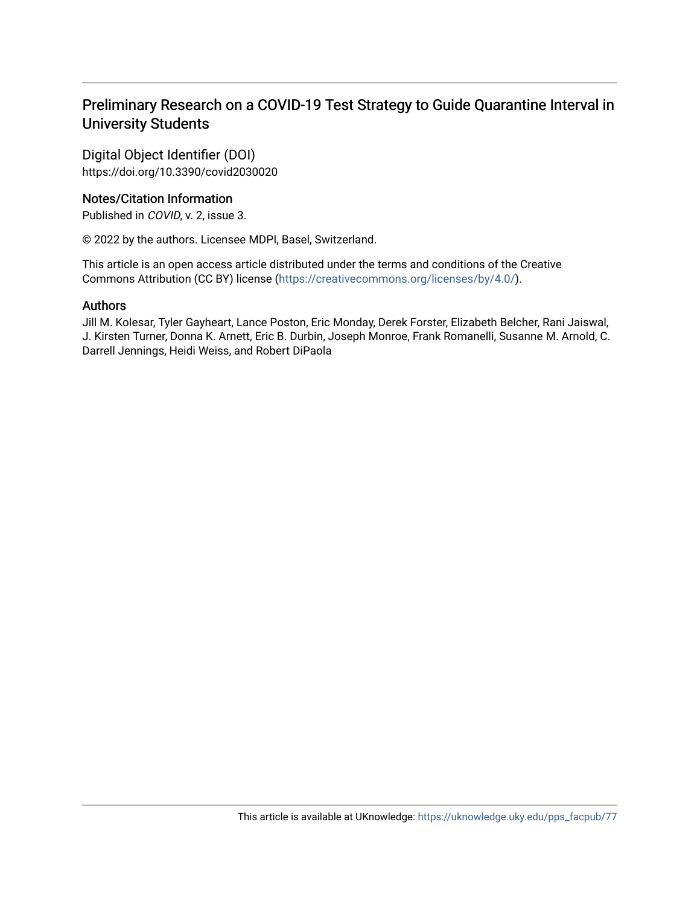# Preliminary Research on a COVID-19 Test Strategy to Guide Quarantine Interval in University Students

Digital Object Identifier (DOI) https://doi.org/10.3390/covid2030020

## Notes/Citation Information

Published in COVID, v. 2, issue 3.

© 2022 by the authors. Licensee MDPI, Basel, Switzerland.

This article is an open access article distributed under the terms and conditions of the Creative Commons Attribution (CC BY) license ([https://creativecommons.org/licenses/by/4.0/\)](https://creativecommons.org/licenses/by/4.0/).

### Authors

Jill M. Kolesar, Tyler Gayheart, Lance Poston, Eric Monday, Derek Forster, Elizabeth Belcher, Rani Jaiswal, J. Kirsten Turner, Donna K. Arnett, Eric B. Durbin, Joseph Monroe, Frank Romanelli, Susanne M. Arnold, C. Darrell Jennings, Heidi Weiss, and Robert DiPaola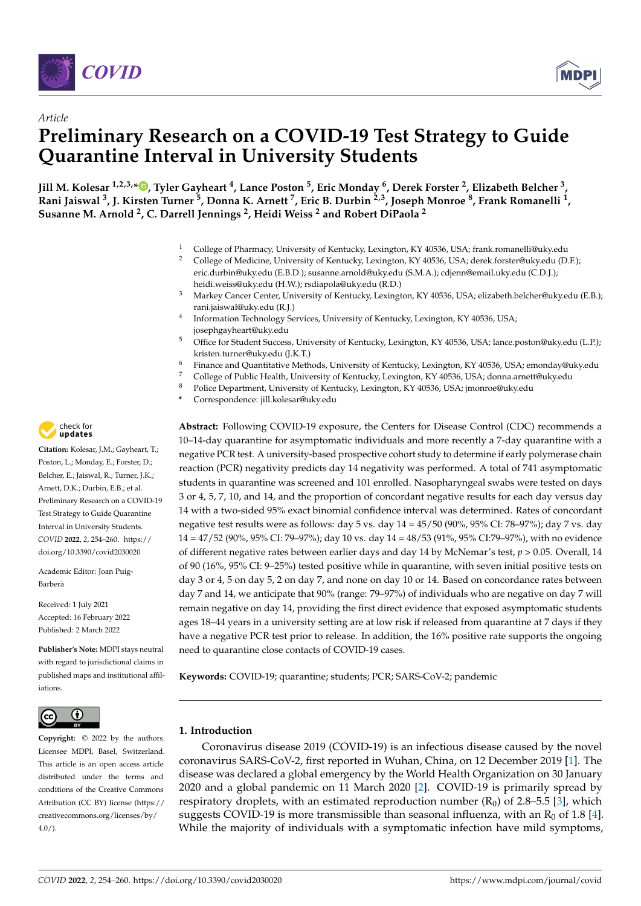



# *Article* **Preliminary Research on a COVID-19 Test Strategy to Guide Quarantine Interval in University Students**

**Jill M. Kolesar 1,2,3,\* [,](https://orcid.org/0000-0003-1802-6439) Tyler Gayheart <sup>4</sup> , Lance Poston <sup>5</sup> , Eric Monday <sup>6</sup> , Derek Forster <sup>2</sup> , Elizabeth Belcher <sup>3</sup> , Rani Jaiswal <sup>3</sup> , J. Kirsten Turner <sup>5</sup> , Donna K. Arnett <sup>7</sup> , Eric B. Durbin 2,3, Joseph Monroe <sup>8</sup> , Frank Romanelli <sup>1</sup> , Susanne M. Arnold <sup>2</sup> , C. Darrell Jennings <sup>2</sup> , Heidi Weiss <sup>2</sup> and Robert DiPaola <sup>2</sup>**

- <sup>1</sup> College of Pharmacy, University of Kentucky, Lexington, KY 40536, USA; frank.romanelli@uky.edu<br><sup>2</sup> College of Medicine, University of Kentucky, Lexington, KY 40536, USA; darek fereter@uky.edu (D
- <sup>2</sup> College of Medicine, University of Kentucky, Lexington, KY 40536, USA; derek.forster@uky.edu (D.F.); eric.durbin@uky.edu (E.B.D.); susanne.arnold@uky.edu (S.M.A.); cdjenn@email.uky.edu (C.D.J.); heidi.weiss@uky.edu (H.W.); rsdiapola@uky.edu (R.D.)
- <sup>3</sup> Markey Cancer Center, University of Kentucky, Lexington, KY 40536, USA; elizabeth.belcher@uky.edu (E.B.); rani.jaiswal@uky.edu (R.J.)
- 4 Information Technology Services, University of Kentucky, Lexington, KY 40536, USA; josephgayheart@uky.edu
- <sup>5</sup> Office for Student Success, University of Kentucky, Lexington, KY 40536, USA; lance.poston@uky.edu (L.P.); kristen.turner@uky.edu (J.K.T.)
- <sup>6</sup> Finance and Quantitative Methods, University of Kentucky, Lexington, KY 40536, USA; emonday@uky.edu
- <sup>7</sup> College of Public Health, University of Kentucky, Lexington, KY 40536, USA; donna.arnett@uky.edu<br><sup>8</sup> Pelice Department, University of Kentucky, Lexington, KY 40526, USA; in anno @ukas de
- <sup>8</sup> Police Department, University of Kentucky, Lexington, KY 40536, USA; jmonroe@uky.edu
- **\*** Correspondence: jill.kolesar@uky.edu

**Abstract:** Following COVID-19 exposure, the Centers for Disease Control (CDC) recommends a 10–14-day quarantine for asymptomatic individuals and more recently a 7-day quarantine with a negative PCR test. A university-based prospective cohort study to determine if early polymerase chain reaction (PCR) negativity predicts day 14 negativity was performed. A total of 741 asymptomatic students in quarantine was screened and 101 enrolled. Nasopharyngeal swabs were tested on days 3 or 4, 5, 7, 10, and 14, and the proportion of concordant negative results for each day versus day 14 with a two-sided 95% exact binomial confidence interval was determined. Rates of concordant negative test results were as follows: day 5 vs. day 14 = 45/50 (90%, 95% CI: 78–97%); day 7 vs. day 14 = 47/52 (90%, 95% CI: 79–97%); day 10 vs. day 14 = 48/53 (91%, 95% CI:79–97%), with no evidence of different negative rates between earlier days and day 14 by McNemar's test, *p* > 0.05. Overall, 14 of 90 (16%, 95% CI: 9–25%) tested positive while in quarantine, with seven initial positive tests on day 3 or 4, 5 on day 5, 2 on day 7, and none on day 10 or 14. Based on concordance rates between day 7 and 14, we anticipate that 90% (range: 79–97%) of individuals who are negative on day 7 will remain negative on day 14, providing the first direct evidence that exposed asymptomatic students ages 18–44 years in a university setting are at low risk if released from quarantine at 7 days if they have a negative PCR test prior to release. In addition, the 16% positive rate supports the ongoing need to quarantine close contacts of COVID-19 cases.

**Keywords:** COVID-19; quarantine; students; PCR; SARS-CoV-2; pandemic

#### **1. Introduction**

Coronavirus disease 2019 (COVID-19) is an infectious disease caused by the novel coronavirus SARS-CoV-2, first reported in Wuhan, China, on 12 December 2019 [\[1\]](#page-7-0). The disease was declared a global emergency by the World Health Organization on 30 January 2020 and a global pandemic on 11 March 2020 [\[2\]](#page-7-1). COVID-19 is primarily spread by respiratory droplets, with an estimated reproduction number  $(R_0)$  of 2.8–5.5 [\[3\]](#page-7-2), which suggests COVID-19 is more transmissible than seasonal influenza, with an  $R_0$  of 1.8 [\[4\]](#page-7-3). While the majority of individuals with a symptomatic infection have mild symptoms,



**Citation:** Kolesar, J.M.; Gayheart, T.; Poston, L.; Monday, E.; Forster, D.; Belcher, E.; Jaiswal, R.; Turner, J.K.; Arnett, D.K.; Durbin, E.B.; et al. Preliminary Research on a COVID-19 Test Strategy to Guide Quarantine Interval in University Students. *COVID* **2022**, *2*, 254–260. [https://](https://doi.org/10.3390/covid2030020) [doi.org/10.3390/covid2030020](https://doi.org/10.3390/covid2030020)

Academic Editor: Joan Puig-Barberà

Received: 1 July 2021 Accepted: 16 February 2022 Published: 2 March 2022

**Publisher's Note:** MDPI stays neutral with regard to jurisdictional claims in published maps and institutional affiliations.



**Copyright:** © 2022 by the authors. Licensee MDPI, Basel, Switzerland. This article is an open access article distributed under the terms and conditions of the Creative Commons Attribution (CC BY) license [\(https://](https://creativecommons.org/licenses/by/4.0/) [creativecommons.org/licenses/by/](https://creativecommons.org/licenses/by/4.0/)  $4.0/$ ).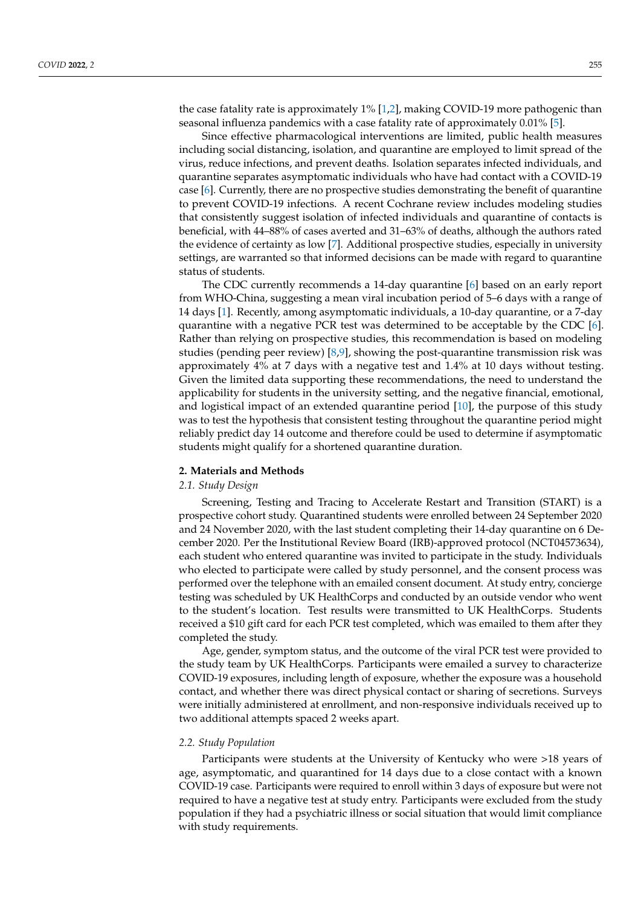the case fatality rate is approximately 1% [\[1,](#page-7-0)[2\]](#page-7-1), making COVID-19 more pathogenic than seasonal influenza pandemics with a case fatality rate of approximately 0.01% [\[5\]](#page-7-4).

Since effective pharmacological interventions are limited, public health measures including social distancing, isolation, and quarantine are employed to limit spread of the virus, reduce infections, and prevent deaths. Isolation separates infected individuals, and quarantine separates asymptomatic individuals who have had contact with a COVID-19 case [\[6\]](#page-7-5). Currently, there are no prospective studies demonstrating the benefit of quarantine to prevent COVID-19 infections. A recent Cochrane review includes modeling studies that consistently suggest isolation of infected individuals and quarantine of contacts is beneficial, with 44–88% of cases averted and 31–63% of deaths, although the authors rated the evidence of certainty as low [\[7\]](#page-7-6). Additional prospective studies, especially in university settings, are warranted so that informed decisions can be made with regard to quarantine status of students.

The CDC currently recommends a 14-day quarantine [\[6\]](#page-7-5) based on an early report from WHO-China, suggesting a mean viral incubation period of 5–6 days with a range of 14 days [\[1\]](#page-7-0). Recently, among asymptomatic individuals, a 10-day quarantine, or a 7-day quarantine with a negative PCR test was determined to be acceptable by the CDC [\[6\]](#page-7-5). Rather than relying on prospective studies, this recommendation is based on modeling studies (pending peer review) [\[8,](#page-7-7)[9\]](#page-7-8), showing the post-quarantine transmission risk was approximately 4% at 7 days with a negative test and 1.4% at 10 days without testing. Given the limited data supporting these recommendations, the need to understand the applicability for students in the university setting, and the negative financial, emotional, and logistical impact of an extended quarantine period [\[10\]](#page-7-9), the purpose of this study was to test the hypothesis that consistent testing throughout the quarantine period might reliably predict day 14 outcome and therefore could be used to determine if asymptomatic students might qualify for a shortened quarantine duration.

#### **2. Materials and Methods**

#### *2.1. Study Design*

Screening, Testing and Tracing to Accelerate Restart and Transition (START) is a prospective cohort study. Quarantined students were enrolled between 24 September 2020 and 24 November 2020, with the last student completing their 14-day quarantine on 6 December 2020. Per the Institutional Review Board (IRB)-approved protocol (NCT04573634), each student who entered quarantine was invited to participate in the study. Individuals who elected to participate were called by study personnel, and the consent process was performed over the telephone with an emailed consent document. At study entry, concierge testing was scheduled by UK HealthCorps and conducted by an outside vendor who went to the student's location. Test results were transmitted to UK HealthCorps. Students received a \$10 gift card for each PCR test completed, which was emailed to them after they completed the study.

Age, gender, symptom status, and the outcome of the viral PCR test were provided to the study team by UK HealthCorps. Participants were emailed a survey to characterize COVID-19 exposures, including length of exposure, whether the exposure was a household contact, and whether there was direct physical contact or sharing of secretions. Surveys were initially administered at enrollment, and non-responsive individuals received up to two additional attempts spaced 2 weeks apart.

#### *2.2. Study Population*

Participants were students at the University of Kentucky who were >18 years of age, asymptomatic, and quarantined for 14 days due to a close contact with a known COVID-19 case. Participants were required to enroll within 3 days of exposure but were not required to have a negative test at study entry. Participants were excluded from the study population if they had a psychiatric illness or social situation that would limit compliance with study requirements.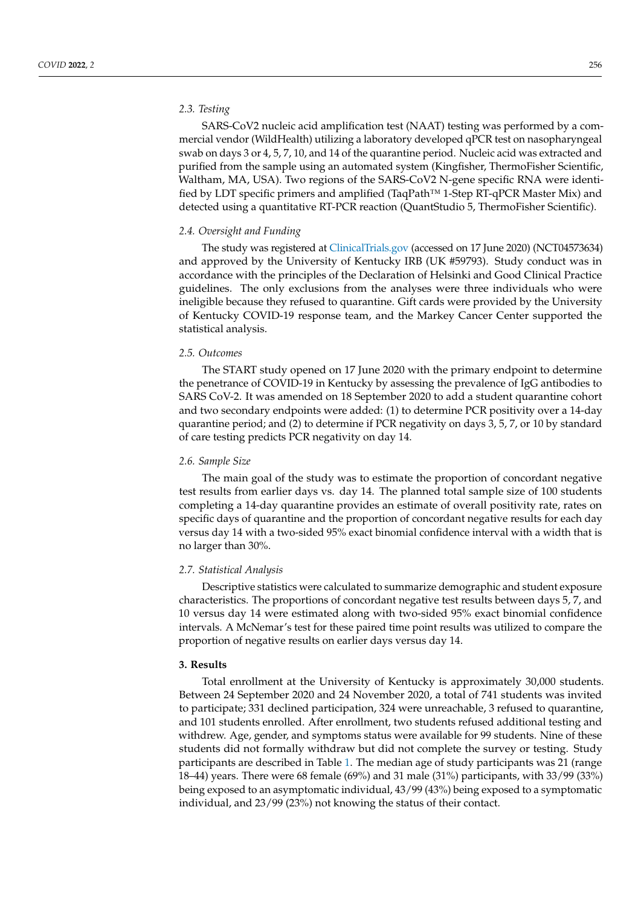#### *2.3. Testing*

SARS-CoV2 nucleic acid amplification test (NAAT) testing was performed by a commercial vendor (WildHealth) utilizing a laboratory developed qPCR test on nasopharyngeal swab on days 3 or 4, 5, 7, 10, and 14 of the quarantine period. Nucleic acid was extracted and purified from the sample using an automated system (Kingfisher, ThermoFisher Scientific, Waltham, MA, USA). Two regions of the SARS-CoV2 N-gene specific RNA were identified by LDT specific primers and amplified (TaqPath™ 1-Step RT-qPCR Master Mix) and detected using a quantitative RT-PCR reaction (QuantStudio 5, ThermoFisher Scientific).

#### *2.4. Oversight and Funding*

The study was registered at <ClinicalTrials.gov> (accessed on 17 June 2020) (NCT04573634) and approved by the University of Kentucky IRB (UK #59793). Study conduct was in accordance with the principles of the Declaration of Helsinki and Good Clinical Practice guidelines. The only exclusions from the analyses were three individuals who were ineligible because they refused to quarantine. Gift cards were provided by the University of Kentucky COVID-19 response team, and the Markey Cancer Center supported the statistical analysis.

#### *2.5. Outcomes*

The START study opened on 17 June 2020 with the primary endpoint to determine the penetrance of COVID-19 in Kentucky by assessing the prevalence of IgG antibodies to SARS CoV-2. It was amended on 18 September 2020 to add a student quarantine cohort and two secondary endpoints were added: (1) to determine PCR positivity over a 14-day quarantine period; and (2) to determine if PCR negativity on days 3, 5, 7, or 10 by standard of care testing predicts PCR negativity on day 14.

#### *2.6. Sample Size*

The main goal of the study was to estimate the proportion of concordant negative test results from earlier days vs. day 14. The planned total sample size of 100 students completing a 14-day quarantine provides an estimate of overall positivity rate, rates on specific days of quarantine and the proportion of concordant negative results for each day versus day 14 with a two-sided 95% exact binomial confidence interval with a width that is no larger than 30%.

#### *2.7. Statistical Analysis*

Descriptive statistics were calculated to summarize demographic and student exposure characteristics. The proportions of concordant negative test results between days 5, 7, and 10 versus day 14 were estimated along with two-sided 95% exact binomial confidence intervals. A McNemar's test for these paired time point results was utilized to compare the proportion of negative results on earlier days versus day 14.

#### **3. Results**

Total enrollment at the University of Kentucky is approximately 30,000 students. Between 24 September 2020 and 24 November 2020, a total of 741 students was invited to participate; 331 declined participation, 324 were unreachable, 3 refused to quarantine, and 101 students enrolled. After enrollment, two students refused additional testing and withdrew. Age, gender, and symptoms status were available for 99 students. Nine of these students did not formally withdraw but did not complete the survey or testing. Study participants are described in Table [1.](#page-5-0) The median age of study participants was 21 (range 18–44) years. There were 68 female (69%) and 31 male (31%) participants, with 33/99 (33%) being exposed to an asymptomatic individual, 43/99 (43%) being exposed to a symptomatic individual, and 23/99 (23%) not knowing the status of their contact.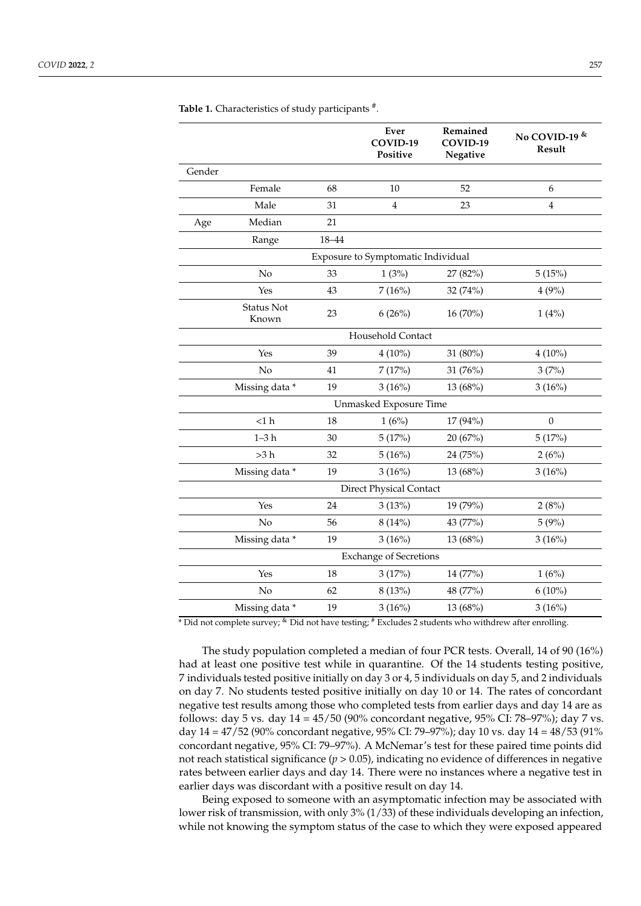|        |                            |       | Ever<br>COVID-19<br>Positive       | Remained<br>COVID-19<br>Negative | No COVID-19 &<br>Result |
|--------|----------------------------|-------|------------------------------------|----------------------------------|-------------------------|
| Gender |                            |       |                                    |                                  |                         |
|        | Female                     | 68    | 10                                 | 52                               | 6                       |
|        | Male                       | 31    | $\overline{4}$                     | 23                               | $\overline{\mathbf{4}}$ |
| Age    | Median                     | 21    |                                    |                                  |                         |
|        | Range                      | 18-44 |                                    |                                  |                         |
|        |                            |       | Exposure to Symptomatic Individual |                                  |                         |
|        | No                         | 33    | 1(3%)                              | 27 (82%)                         | 5(15%)                  |
|        | Yes                        | 43    | 7(16%)                             | 32 (74%)                         | 4(9%)                   |
|        | <b>Status Not</b><br>Known | 23    | 6(26%)                             | 16 (70%)                         | 1(4%)                   |
|        |                            |       | Household Contact                  |                                  |                         |
|        | Yes                        | 39    | $4(10\%)$                          | 31 (80%)                         | $4(10\%)$               |
|        | No                         | 41    | 7(17%)                             | 31 (76%)                         | 3(7%)                   |
|        | Missing data*              | 19    | 3(16%)                             | 13 (68%)                         | 3(16%)                  |
|        |                            |       | Unmasked Exposure Time             |                                  |                         |
|        | <1 h                       | 18    | 1(6%)                              | 17 (94%)                         | $\boldsymbol{0}$        |
|        | $1 - 3h$                   | 30    | 5(17%)                             | 20 (67%)                         | 5(17%)                  |
|        | >3 h                       | 32    | 5(16%)                             | 24 (75%)                         | 2(6%)                   |
|        | Missing data*              | 19    | 3(16%)                             | 13 (68%)                         | 3(16%)                  |
|        |                            |       | <b>Direct Physical Contact</b>     |                                  |                         |
|        | Yes                        | 24    | 3(13%)                             | 19 (79%)                         | 2(8%)                   |
|        | No                         | 56    | 8(14%)                             | 43 (77%)                         | 5(9%)                   |
|        | Missing data*              | 19    | 3(16%)                             | 13 (68%)                         | 3(16%)                  |
|        |                            |       | <b>Exchange of Secretions</b>      |                                  |                         |
|        | Yes                        | 18    | 3(17%)                             | 14 (77%)                         | 1(6%)                   |
|        | No                         | 62    | 8 (13%)                            | 48 (77%)                         | $6(10\%)$               |
|        | Missing data*              | 19    | 3(16%)                             | 13 (68%)                         | 3(16%)                  |

<span id="page-5-0"></span>Table 1. Characteristics of study participants #.

\* Did not complete survey; & Did not have testing; # Excludes 2 students who withdrew after enrolling.

The study population completed a median of four PCR tests. Overall, 14 of 90 (16%) had at least one positive test while in quarantine. Of the 14 students testing positive, 7 individuals tested positive initially on day 3 or 4, 5 individuals on day 5, and 2 individuals on day 7. No students tested positive initially on day 10 or 14. The rates of concordant negative test results among those who completed tests from earlier days and day 14 are as follows: day 5 vs. day 14 = 45/50 (90% concordant negative, 95% CI: 78–97%); day 7 vs. day 14 = 47/52 (90% concordant negative, 95% CI: 79–97%); day 10 vs. day 14 = 48/53 (91% concordant negative, 95% CI: 79–97%). A McNemar's test for these paired time points did not reach statistical significance (*p* > 0.05), indicating no evidence of differences in negative rates between earlier days and day 14. There were no instances where a negative test in earlier days was discordant with a positive result on day 14.

Being exposed to someone with an asymptomatic infection may be associated with lower risk of transmission, with only 3% (1/33) of these individuals developing an infection, while not knowing the symptom status of the case to which they were exposed appeared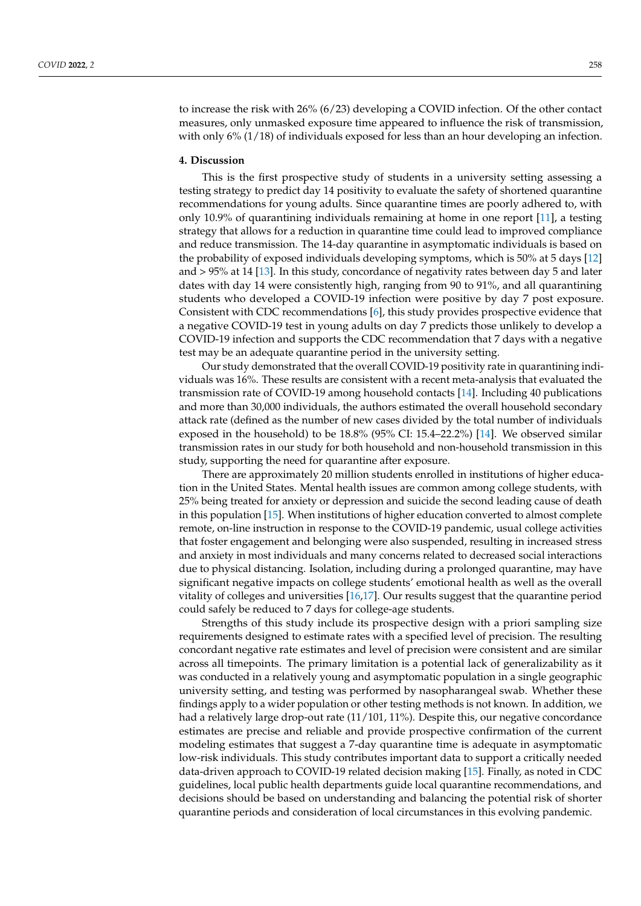to increase the risk with 26% (6/23) developing a COVID infection. Of the other contact measures, only unmasked exposure time appeared to influence the risk of transmission, with only 6% (1/18) of individuals exposed for less than an hour developing an infection.

#### **4. Discussion**

This is the first prospective study of students in a university setting assessing a testing strategy to predict day 14 positivity to evaluate the safety of shortened quarantine recommendations for young adults. Since quarantine times are poorly adhered to, with only 10.9% of quarantining individuals remaining at home in one report [\[11\]](#page-7-10), a testing strategy that allows for a reduction in quarantine time could lead to improved compliance and reduce transmission. The 14-day quarantine in asymptomatic individuals is based on the probability of exposed individuals developing symptoms, which is 50% at 5 days [\[12\]](#page-7-11) and > 95% at 14 [\[13\]](#page-7-12). In this study, concordance of negativity rates between day 5 and later dates with day 14 were consistently high, ranging from 90 to 91%, and all quarantining students who developed a COVID-19 infection were positive by day 7 post exposure. Consistent with CDC recommendations [\[6\]](#page-7-5), this study provides prospective evidence that a negative COVID-19 test in young adults on day 7 predicts those unlikely to develop a COVID-19 infection and supports the CDC recommendation that 7 days with a negative test may be an adequate quarantine period in the university setting.

Our study demonstrated that the overall COVID-19 positivity rate in quarantining individuals was 16%. These results are consistent with a recent meta-analysis that evaluated the transmission rate of COVID-19 among household contacts [\[14\]](#page-8-0). Including 40 publications and more than 30,000 individuals, the authors estimated the overall household secondary attack rate (defined as the number of new cases divided by the total number of individuals exposed in the household) to be 18.8% (95% CI: 15.4–22.2%) [\[14\]](#page-8-0). We observed similar transmission rates in our study for both household and non-household transmission in this study, supporting the need for quarantine after exposure.

There are approximately 20 million students enrolled in institutions of higher education in the United States. Mental health issues are common among college students, with 25% being treated for anxiety or depression and suicide the second leading cause of death in this population [\[15\]](#page-8-1). When institutions of higher education converted to almost complete remote, on-line instruction in response to the COVID-19 pandemic, usual college activities that foster engagement and belonging were also suspended, resulting in increased stress and anxiety in most individuals and many concerns related to decreased social interactions due to physical distancing. Isolation, including during a prolonged quarantine, may have significant negative impacts on college students' emotional health as well as the overall vitality of colleges and universities [\[16,](#page-8-2)[17\]](#page-8-3). Our results suggest that the quarantine period could safely be reduced to 7 days for college-age students.

Strengths of this study include its prospective design with a priori sampling size requirements designed to estimate rates with a specified level of precision. The resulting concordant negative rate estimates and level of precision were consistent and are similar across all timepoints. The primary limitation is a potential lack of generalizability as it was conducted in a relatively young and asymptomatic population in a single geographic university setting, and testing was performed by nasopharangeal swab. Whether these findings apply to a wider population or other testing methods is not known. In addition, we had a relatively large drop-out rate (11/101, 11%). Despite this, our negative concordance estimates are precise and reliable and provide prospective confirmation of the current modeling estimates that suggest a 7-day quarantine time is adequate in asymptomatic low-risk individuals. This study contributes important data to support a critically needed data-driven approach to COVID-19 related decision making [\[15\]](#page-8-1). Finally, as noted in CDC guidelines, local public health departments guide local quarantine recommendations, and decisions should be based on understanding and balancing the potential risk of shorter quarantine periods and consideration of local circumstances in this evolving pandemic.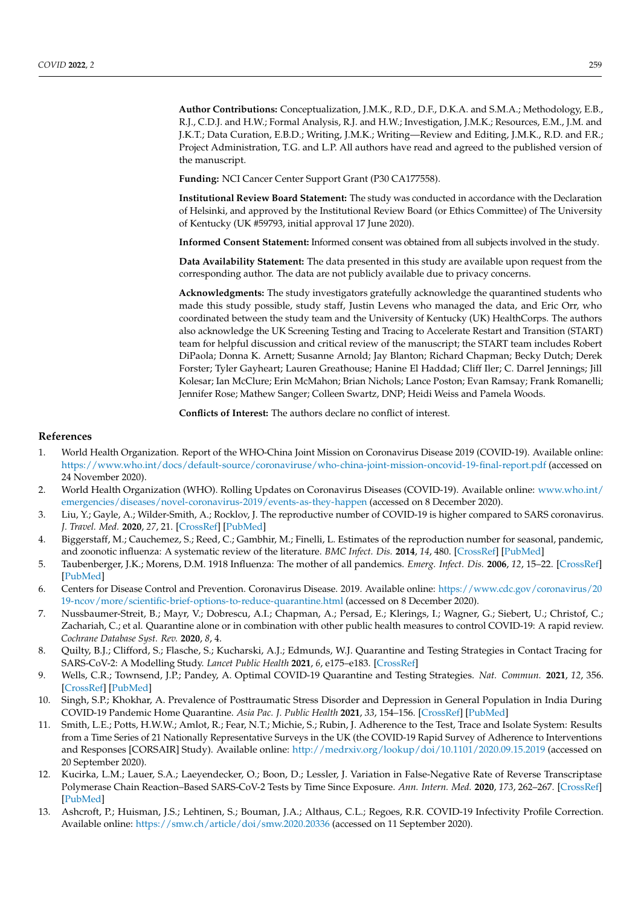**Author Contributions:** Conceptualization, J.M.K., R.D., D.F., D.K.A. and S.M.A.; Methodology, E.B., R.J., C.D.J. and H.W.; Formal Analysis, R.J. and H.W.; Investigation, J.M.K.; Resources, E.M., J.M. and J.K.T.; Data Curation, E.B.D.; Writing, J.M.K.; Writing—Review and Editing, J.M.K., R.D. and F.R.; Project Administration, T.G. and L.P. All authors have read and agreed to the published version of the manuscript.

**Funding:** NCI Cancer Center Support Grant (P30 CA177558).

**Institutional Review Board Statement:** The study was conducted in accordance with the Declaration of Helsinki, and approved by the Institutional Review Board (or Ethics Committee) of The University of Kentucky (UK #59793, initial approval 17 June 2020).

**Informed Consent Statement:** Informed consent was obtained from all subjects involved in the study.

**Data Availability Statement:** The data presented in this study are available upon request from the corresponding author. The data are not publicly available due to privacy concerns.

**Acknowledgments:** The study investigators gratefully acknowledge the quarantined students who made this study possible, study staff, Justin Levens who managed the data, and Eric Orr, who coordinated between the study team and the University of Kentucky (UK) HealthCorps. The authors also acknowledge the UK Screening Testing and Tracing to Accelerate Restart and Transition (START) team for helpful discussion and critical review of the manuscript; the START team includes Robert DiPaola; Donna K. Arnett; Susanne Arnold; Jay Blanton; Richard Chapman; Becky Dutch; Derek Forster; Tyler Gayheart; Lauren Greathouse; Hanine El Haddad; Cliff Iler; C. Darrel Jennings; Jill Kolesar; Ian McClure; Erin McMahon; Brian Nichols; Lance Poston; Evan Ramsay; Frank Romanelli; Jennifer Rose; Mathew Sanger; Colleen Swartz, DNP; Heidi Weiss and Pamela Woods.

**Conflicts of Interest:** The authors declare no conflict of interest.

#### **References**

- <span id="page-7-0"></span>1. World Health Organization. Report of the WHO-China Joint Mission on Coronavirus Disease 2019 (COVID-19). Available online: <https://www.who.int/docs/default-source/coronaviruse/who-china-joint-mission-oncovid-19-final-report.pdf> (accessed on 24 November 2020).
- <span id="page-7-1"></span>2. World Health Organization (WHO). Rolling Updates on Coronavirus Diseases (COVID-19). Available online: [www.who.int/](www.who.int/emergencies/diseases/novel-coronavirus-2019/events-as-they-happen) [emergencies/diseases/novel-coronavirus-2019/events-as-they-happen](www.who.int/emergencies/diseases/novel-coronavirus-2019/events-as-they-happen) (accessed on 8 December 2020).
- <span id="page-7-2"></span>3. Liu, Y.; Gayle, A.; Wilder-Smith, A.; Rocklov, J. The reproductive number of COVID-19 is higher compared to SARS coronavirus. *J. Travel. Med.* **2020**, *27*, 21. [\[CrossRef\]](http://doi.org/10.1093/jtm/taaa021) [\[PubMed\]](http://www.ncbi.nlm.nih.gov/pubmed/32052846)
- <span id="page-7-3"></span>4. Biggerstaff, M.; Cauchemez, S.; Reed, C.; Gambhir, M.; Finelli, L. Estimates of the reproduction number for seasonal, pandemic, and zoonotic influenza: A systematic review of the literature. *BMC Infect. Dis.* **2014**, *14*, 480. [\[CrossRef\]](http://doi.org/10.1186/1471-2334-14-480) [\[PubMed\]](http://www.ncbi.nlm.nih.gov/pubmed/25186370)
- <span id="page-7-4"></span>5. Taubenberger, J.K.; Morens, D.M. 1918 Influenza: The mother of all pandemics. *Emerg. Infect. Dis.* **2006**, *12*, 15–22. [\[CrossRef\]](http://doi.org/10.3201/eid1209.05-0979) [\[PubMed\]](http://www.ncbi.nlm.nih.gov/pubmed/16494711)
- <span id="page-7-5"></span>6. Centers for Disease Control and Prevention. Coronavirus Disease. 2019. Available online: [https://www.cdc.gov/coronavirus/20](https://www.cdc.gov/coronavirus/2019-ncov/more/scientific-brief-options-to-reduce-quarantine.html) [19-ncov/more/scientific-brief-options-to-reduce-quarantine.html](https://www.cdc.gov/coronavirus/2019-ncov/more/scientific-brief-options-to-reduce-quarantine.html) (accessed on 8 December 2020).
- <span id="page-7-6"></span>7. Nussbaumer-Streit, B.; Mayr, V.; Dobrescu, A.I.; Chapman, A.; Persad, E.; Klerings, I.; Wagner, G.; Siebert, U.; Christof, C.; Zachariah, C.; et al. Quarantine alone or in combination with other public health measures to control COVID-19: A rapid review. *Cochrane Database Syst. Rev.* **2020**, *8*, 4.
- <span id="page-7-7"></span>8. Quilty, B.J.; Clifford, S.; Flasche, S.; Kucharski, A.J.; Edmunds, W.J. Quarantine and Testing Strategies in Contact Tracing for SARS-CoV-2: A Modelling Study. *Lancet Public Health* **2021**, *6*, e175–e183. [\[CrossRef\]](http://doi.org/10.1016/S2468-2667(20)30308-X)
- <span id="page-7-8"></span>9. Wells, C.R.; Townsend, J.P.; Pandey, A. Optimal COVID-19 Quarantine and Testing Strategies. *Nat. Commun.* **2021**, *12*, 356. [\[CrossRef\]](http://doi.org/10.1038/s41467-020-20742-8) [\[PubMed\]](http://www.ncbi.nlm.nih.gov/pubmed/33414470)
- <span id="page-7-9"></span>10. Singh, S.P.; Khokhar, A. Prevalence of Posttraumatic Stress Disorder and Depression in General Population in India During COVID-19 Pandemic Home Quarantine. *Asia Pac. J. Public Health* **2021**, *33*, 154–156. [\[CrossRef\]](http://doi.org/10.1177/1010539520968455) [\[PubMed\]](http://www.ncbi.nlm.nih.gov/pubmed/33198479)
- <span id="page-7-10"></span>11. Smith, L.E.; Potts, H.W.W.; Amlot, R.; Fear, N.T.; Michie, S.; Rubin, J. Adherence to the Test, Trace and Isolate System: Results from a Time Series of 21 Nationally Representative Surveys in the UK (the COVID-19 Rapid Survey of Adherence to Interventions and Responses [CORSAIR] Study). Available online: <http://medrxiv.org/lookup/doi/10.1101/2020.09.15.2019> (accessed on 20 September 2020).
- <span id="page-7-11"></span>12. Kucirka, L.M.; Lauer, S.A.; Laeyendecker, O.; Boon, D.; Lessler, J. Variation in False-Negative Rate of Reverse Transcriptase Polymerase Chain Reaction–Based SARS-CoV-2 Tests by Time Since Exposure. *Ann. Intern. Med.* **2020**, *173*, 262–267. [\[CrossRef\]](http://doi.org/10.7326/M20-1495) [\[PubMed\]](http://www.ncbi.nlm.nih.gov/pubmed/32422057)
- <span id="page-7-12"></span>13. Ashcroft, P.; Huisman, J.S.; Lehtinen, S.; Bouman, J.A.; Althaus, C.L.; Regoes, R.R. COVID-19 Infectivity Profile Correction. Available online: <https://smw.ch/article/doi/smw.2020.20336> (accessed on 11 September 2020).